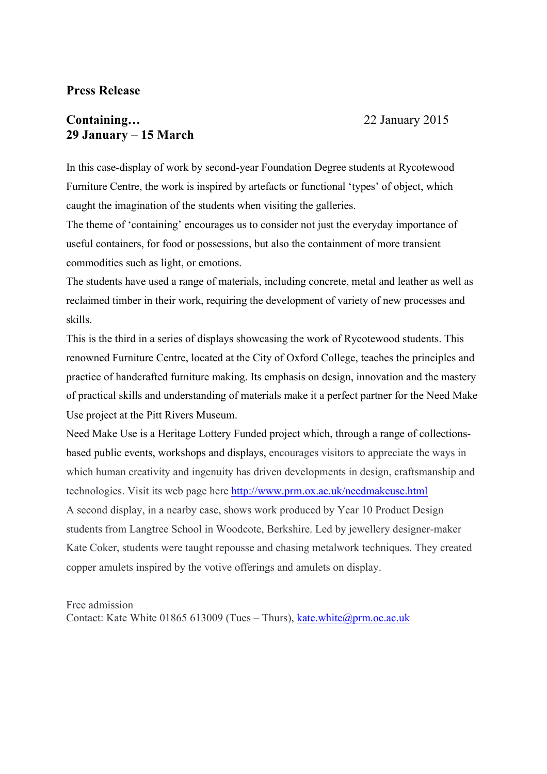# **Press Release**

# **Containing...** 22 January 2015 **29 January – 15 March**

In this case-display of work by second-year Foundation Degree students at Rycotewood Furniture Centre, the work is inspired by artefacts or functional 'types' of object, which caught the imagination of the students when visiting the galleries.

The theme of 'containing' encourages us to consider not just the everyday importance of useful containers, for food or possessions, but also the containment of more transient commodities such as light, or emotions.

The students have used a range of materials, including concrete, metal and leather as well as reclaimed timber in their work, requiring the development of variety of new processes and skills.

This is the third in a series of displays showcasing the work of Rycotewood students. This renowned Furniture Centre, located at the City of Oxford College, teaches the principles and practice of handcrafted furniture making. Its emphasis on design, innovation and the mastery of practical skills and understanding of materials make it a perfect partner for the Need Make Use project at the Pitt Rivers Museum.

Need Make Use is a Heritage Lottery Funded project which, through a range of collectionsbased public events, workshops and displays, encourages visitors to appreciate the ways in which human creativity and ingenuity has driven developments in design, craftsmanship and technologies. Visit its web page here http://www.prm.ox.ac.uk/needmakeuse.html A second display, in a nearby case, shows work produced by Year 10 Product Design students from Langtree School in Woodcote, Berkshire. Led by jewellery designer-maker Kate Coker, students were taught repousse and chasing metalwork techniques. They created copper amulets inspired by the votive offerings and amulets on display.

### Free admission

Contact: Kate White 01865 613009 (Tues – Thurs), kate.white@prm.oc.ac.uk